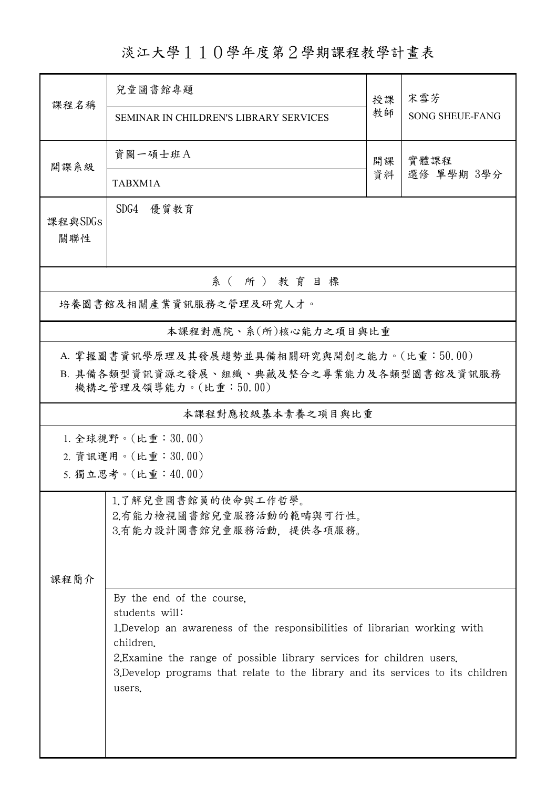淡江大學110學年度第2學期課程教學計畫表

| 課程名稱                                                                                    | 兒童圖書館專題                                                                            | 授課 | 宋雪芳                    |  |
|-----------------------------------------------------------------------------------------|------------------------------------------------------------------------------------|----|------------------------|--|
|                                                                                         | <b>SEMINAR IN CHILDREN'S LIBRARY SERVICES</b>                                      | 教師 | <b>SONG SHEUE-FANG</b> |  |
| 開課系級                                                                                    | 資圖一碩士班A                                                                            | 開課 | 實體課程<br>選修 單學期 3學分     |  |
|                                                                                         | TABXM1A                                                                            | 資料 |                        |  |
| 課程與SDGs<br>關聯性                                                                          | SDG4<br>優質教育                                                                       |    |                        |  |
| 系(所)教育目標                                                                                |                                                                                    |    |                        |  |
| 培養圖書館及相關產業資訊服務之管理及研究人才。                                                                 |                                                                                    |    |                        |  |
| 本課程對應院、系(所)核心能力之項目與比重                                                                   |                                                                                    |    |                        |  |
| A. 掌握圖書資訊學原理及其發展趨勢並具備相關研究與開創之能力。(比重:50.00)<br>B. 具備各類型資訊資源之發展、組織、典藏及整合之專業能力及各類型圖書館及資訊服務 |                                                                                    |    |                        |  |
| 機構之管理及領導能力。(比重:50.00)                                                                   |                                                                                    |    |                        |  |
| 本課程對應校級基本素養之項目與比重                                                                       |                                                                                    |    |                        |  |
| 1. 全球視野。(比重: 30.00)<br>2. 資訊運用。(比重:30.00)                                               |                                                                                    |    |                        |  |
| 5. 獨立思考。(比重:40.00)                                                                      |                                                                                    |    |                        |  |
|                                                                                         | 1.了解兒童圖書館員的使命與工作哲學。<br>2.有能力檢視圖書館兒童服務活動的範疇與可行性。<br>3.有能力設計圖書館兒童服務活動,提供各項服務。        |    |                        |  |
| 課程簡介                                                                                    |                                                                                    |    |                        |  |
|                                                                                         | By the end of the course,<br>students will:                                        |    |                        |  |
|                                                                                         | 1. Develop an awareness of the responsibilities of librarian working with          |    |                        |  |
|                                                                                         | children.<br>2. Examine the range of possible library services for children users. |    |                        |  |
|                                                                                         | 3. Develop programs that relate to the library and its services to its children    |    |                        |  |
|                                                                                         | users.                                                                             |    |                        |  |
|                                                                                         |                                                                                    |    |                        |  |
|                                                                                         |                                                                                    |    |                        |  |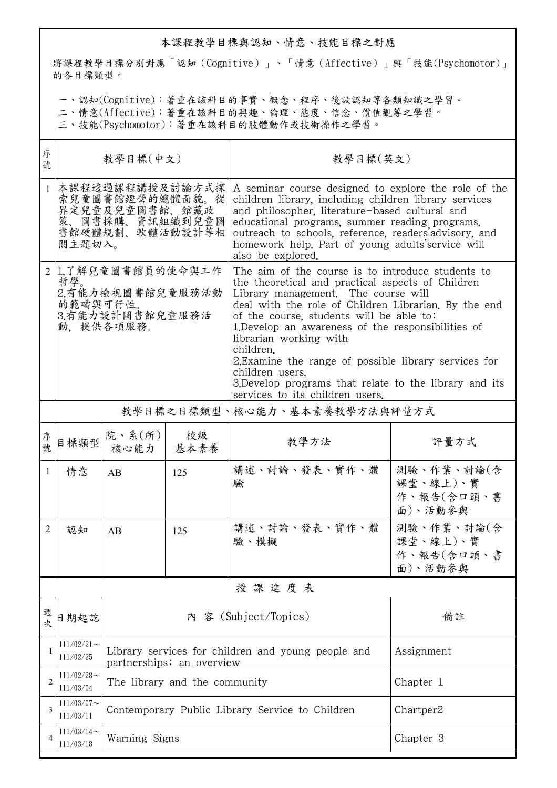## 本課程教學目標與認知、情意、技能目標之對應

將課程教學目標分別對應「認知(Cognitive)」、「情意(Affective)」與「技能(Psychomotor)」 的各目標類型。

一、認知(Cognitive):著重在該科目的事實、概念、程序、後設認知等各類知識之學習。

二、情意(Affective):著重在該科目的興趣、倫理、態度、信念、價值觀等之學習。

三、技能(Psychomotor):著重在該科目的肢體動作或技術操作之學習。

| 序<br>號         | 教學目標(中文)                                                                                |                                                                                            |                                                                                 | 教學目標(英文)                                                                                                                                                                                                                                                                                                                                                                                                                                                                                                                |                                                 |  |
|----------------|-----------------------------------------------------------------------------------------|--------------------------------------------------------------------------------------------|---------------------------------------------------------------------------------|-------------------------------------------------------------------------------------------------------------------------------------------------------------------------------------------------------------------------------------------------------------------------------------------------------------------------------------------------------------------------------------------------------------------------------------------------------------------------------------------------------------------------|-------------------------------------------------|--|
| $\mathbf{1}$   | 關主題切入。                                                                                  | 本課程透過課程講授及討論方式探<br>索兒童圖書館經營的總體面貌。從<br>界定兒童及兒童圖書館、館藏政<br>策、圖書採購、資訊組織到兒童圖<br>書館硬體規劃、軟體活動設計等相 |                                                                                 | A seminar course designed to explore the role of the<br>children library, including children library services<br>and philosopher, literature-based cultural and<br>educational programs, summer reading programs,<br>outreach to schools, reference, readers'advisory, and<br>homework help. Part of young adults' service will<br>also be explored.                                                                                                                                                                    |                                                 |  |
| $\overline{2}$ | 1.了解兒童圖書館員的使命與工作<br>哲學。<br>2.有能力檢視圖書館兒童服務活動<br>的範疇與可行性。<br>3.有能力設計圖書館兒童服務活<br>動,提供各項服務。 |                                                                                            |                                                                                 | The aim of the course is to introduce students to<br>the theoretical and practical aspects of Children<br>Library management. The course will<br>deal with the role of Children Librarian. By the end<br>of the course, students will be able to:<br>1. Develop an awareness of the responsibilities of<br>librarian working with<br>children.<br>2. Examine the range of possible library services for<br>children users.<br>3. Develop programs that relate to the library and its<br>services to its children users. |                                                 |  |
|                | 教學目標之目標類型、核心能力、基本素養教學方法與評量方式                                                            |                                                                                            |                                                                                 |                                                                                                                                                                                                                                                                                                                                                                                                                                                                                                                         |                                                 |  |
| 序<br>號         | 目標類型                                                                                    | 院、系 $(\text{m})$<br>核心能力                                                                   | 校級<br>基本素養                                                                      | 教學方法                                                                                                                                                                                                                                                                                                                                                                                                                                                                                                                    | 評量方式                                            |  |
| 1              | 情意                                                                                      | AB                                                                                         | 125                                                                             | 講述、討論、發表、實作、體<br>驗                                                                                                                                                                                                                                                                                                                                                                                                                                                                                                      | 測驗、作業、討論(含<br>課堂、線上)、實<br>作、報告(含口頭、書<br>面)、活動參與 |  |
| 2              | 認知                                                                                      | AB                                                                                         | 125                                                                             | 講述、討論、發表、實作、體<br>驗、模擬                                                                                                                                                                                                                                                                                                                                                                                                                                                                                                   | 測驗、作業、討論(含<br>課堂、線上)、實<br>作、報告(含口頭、書<br>面)、活動參與 |  |
|                | 授課進度表                                                                                   |                                                                                            |                                                                                 |                                                                                                                                                                                                                                                                                                                                                                                                                                                                                                                         |                                                 |  |
| 週<br>次         | 日期起訖                                                                                    |                                                                                            |                                                                                 | 内 容 (Subject/Topics)                                                                                                                                                                                                                                                                                                                                                                                                                                                                                                    | 備註                                              |  |
| 1              | $111/02/21$ ~<br>111/02/25                                                              |                                                                                            | Library services for children and young people and<br>partnerships: an overview | Assignment                                                                                                                                                                                                                                                                                                                                                                                                                                                                                                              |                                                 |  |
| 2              | $111/02/28$ ~<br>111/03/04                                                              |                                                                                            | The library and the community                                                   | Chapter 1                                                                                                                                                                                                                                                                                                                                                                                                                                                                                                               |                                                 |  |
| 3              | $111/03/07$ ~<br>111/03/11                                                              | Contemporary Public Library Service to Children<br>Chartper2                               |                                                                                 |                                                                                                                                                                                                                                                                                                                                                                                                                                                                                                                         |                                                 |  |
| 4              | $111/03/14$ ~<br>111/03/18                                                              | Chapter 3<br>Warning Signs                                                                 |                                                                                 |                                                                                                                                                                                                                                                                                                                                                                                                                                                                                                                         |                                                 |  |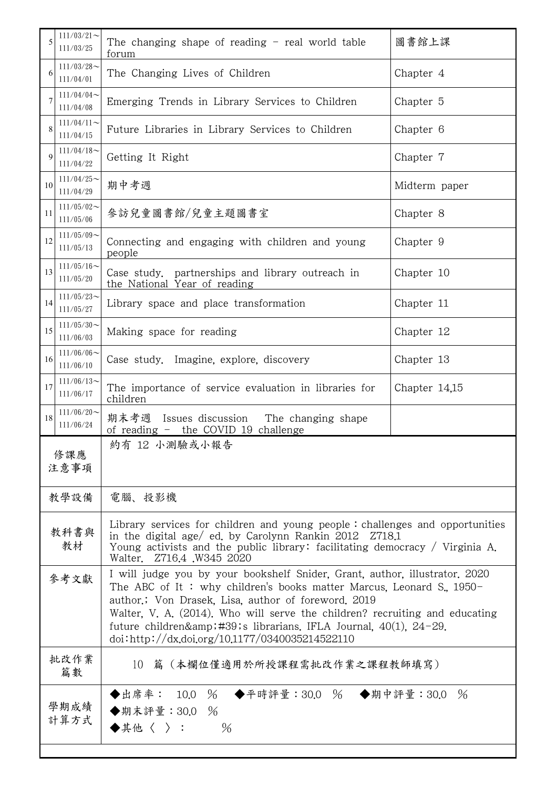| 5            | $111/03/21$ ~<br>111/03/25                                   | The changing shape of reading $-$ real world table<br>forum                                                                                                                                                                                                                                                                                                                                                | 圖書館上課         |  |  |  |
|--------------|--------------------------------------------------------------|------------------------------------------------------------------------------------------------------------------------------------------------------------------------------------------------------------------------------------------------------------------------------------------------------------------------------------------------------------------------------------------------------------|---------------|--|--|--|
| 6            | $111/03/28$ ~<br>The Changing Lives of Children<br>111/04/01 |                                                                                                                                                                                                                                                                                                                                                                                                            | Chapter 4     |  |  |  |
| 7            | $111/04/04$ ~<br>111/04/08                                   | Emerging Trends in Library Services to Children                                                                                                                                                                                                                                                                                                                                                            | Chapter 5     |  |  |  |
| 8            | $111/04/11$ ~<br>111/04/15                                   | Future Libraries in Library Services to Children                                                                                                                                                                                                                                                                                                                                                           | Chapter 6     |  |  |  |
| $\mathbf Q$  | $111/04/18$ ~<br>111/04/22                                   | Getting It Right                                                                                                                                                                                                                                                                                                                                                                                           | Chapter 7     |  |  |  |
| 10           | $111/04/25$ ~<br>111/04/29                                   | 期中考週                                                                                                                                                                                                                                                                                                                                                                                                       | Midterm paper |  |  |  |
| 11           | $111/05/02$ ~<br>111/05/06                                   | 參訪兒童圖書館/兒童主題圖書室                                                                                                                                                                                                                                                                                                                                                                                            | Chapter 8     |  |  |  |
| 12           | $111/05/09$ ~<br>111/05/13                                   | Connecting and engaging with children and young<br>people                                                                                                                                                                                                                                                                                                                                                  | Chapter 9     |  |  |  |
| 13           | $111/05/16$ ~<br>111/05/20                                   | Case study, partnerships and library outreach in<br>the National Year of reading                                                                                                                                                                                                                                                                                                                           | Chapter 10    |  |  |  |
| 14           | $111/05/23$ ~<br>111/05/27                                   | Library space and place transformation                                                                                                                                                                                                                                                                                                                                                                     | Chapter 11    |  |  |  |
| 15           | $111/05/30$ ~<br>Making space for reading<br>111/06/03       |                                                                                                                                                                                                                                                                                                                                                                                                            | Chapter 12    |  |  |  |
| 16           | $111/06/06$ ~<br>111/06/10                                   | Case study. Imagine, explore, discovery                                                                                                                                                                                                                                                                                                                                                                    | Chapter 13    |  |  |  |
| 17           | $111/06/13$ ~<br>111/06/17                                   | The importance of service evaluation in libraries for<br>children                                                                                                                                                                                                                                                                                                                                          | Chapter 14,15 |  |  |  |
| 18           | $111/06/20$ ~<br>111/06/24                                   | 期末考週<br>Issues discussion The changing shape<br>of reading - the COVID 19 challenge                                                                                                                                                                                                                                                                                                                        |               |  |  |  |
| 修課應<br>注意事項  |                                                              | 約有 12 小測驗或小報告                                                                                                                                                                                                                                                                                                                                                                                              |               |  |  |  |
| 教學設備         |                                                              | 電腦、投影機                                                                                                                                                                                                                                                                                                                                                                                                     |               |  |  |  |
| 教科書與<br>教材   |                                                              | Library services for children and young people: challenges and opportunities<br>in the digital age/ ed. by Carolynn Rankin 2012 Z718.1<br>Young activists and the public library: facilitating democracy / Virginia A.<br>Walter. Z716.4 W345 2020                                                                                                                                                         |               |  |  |  |
| 參考文獻         |                                                              | I will judge you by your bookshelf Snider, Grant, author, illustrator, 2020<br>The ABC of It: why children's books matter Marcus, Leonard S., $1950 -$<br>author.; Von Drasek, Lisa, author of foreword. 2019<br>Walter, V. A. (2014). Who will serve the children? recruiting and educating<br>future children' librarians. IFLA Journal, 40(1), 24-29.<br>doi:http://dx.doi.org/10.1177/0340035214522110 |               |  |  |  |
| 批改作業<br>篇數   |                                                              | 10 篇 (本欄位僅適用於所授課程需批改作業之課程教師填寫)                                                                                                                                                                                                                                                                                                                                                                             |               |  |  |  |
| 學期成績<br>計算方式 |                                                              | ◆出席率: 10.0 % ◆平時評量:30.0 % ◆期中評量:30.0 %<br>◆期末評量:30.0 %<br>◆其他〈 〉:<br>$\%$                                                                                                                                                                                                                                                                                                                                  |               |  |  |  |